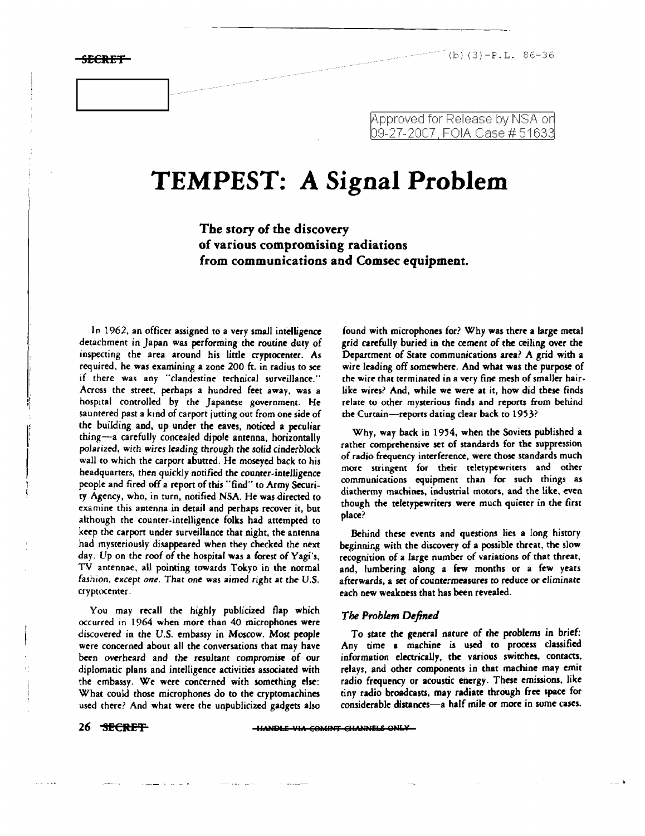,i ., "i

l. 1

I \ !

**SECRET** (b)  $(3) - P.L. 86-36$ 

## Approved for Release by NSA on 09-27-2007, FOIA Case # 51633

# **TEMPEST: A Signal Problem**

The story of the discovery of various compromising radiations from communications and Comsec equipment.

In 1962, an officer assigned to a very small intelligence detachment in Japan was performing the routine duty of inspecting the area around his little cryptocenter. As required, he was examining a zone 200 ft. in radius to see if there was any "clandestine technical surveillance." Across the street. perhaps a hundred feet away, was a hospital controlled by the Japanese government. He sauntered past a kind of carport jutting out from one side of the building and, up under the eaves, noticed a peculiar thing-a carefully concealed dipole antenna, horizontally polarized. with wires leading through the solid cinderblock wall to which the carport abutted. He moseyed back to his headquarters, *then* quickly notified the counter-intelligence people and fired off a report of this "find" to Army Security Agency, who. in turn, notified NSA. He was directed to examine this antenna in detail and perhaps recover it, but although the counter-intelligence folks had attempted to keep the carport under surveillance that night, the antenna had mysteriously disappeared when *they* checked the next day. Up on the roof of the hospital was a forest of Vagi's, TV antennae, all pointing towards Tokyo in the normal fashion, *except one.* That one was aimed right at *the* U,S. cryptocenter.

You may recall *the* highly publicized flap which occurred in 1964 when more than 40 microphones were discovered in *the* U.S. embassy in Moscow. Most people were concerned about all the conversations that may have been overheard and *the* resultant compromise of our diplomatic plans and intelligence activities associated with the embassy. We were concerned with something else: What could those microphones do to the cryptomachines used there? And what were the unpublicized gadgets also found with microphones for? Why was there a large metal grid carefully buried in the cement of the ceiling over the Department of State communications area? A grid with a wire leading off somewhere. And what was the purpose of the wire that terminated in a very fine mesh of smaller hair. like wires? And. while we were at it, how did these finds relate to other mysterious finds and reports from behind the Curtain-reports dating clear back to 1953?

Why, way back in 1954, when the Soviets published a rather comprehensive set of standards for the suppression of radio frequency interference, were those standards much more stringent for their teletypewriters and other communications equipment than for such things as diathermy machines, industrial motors, and the like, even though the teletypewriters were much quieter in the first place?

Behind these events and questions lies a long history beginning with the discovery of a possible threat. the slow recognition of a large number of variations of that threat, and, lumbering along a few months or a few years afterwards, a set of countermeasures to reduce or eliminate each new weakness that has been revealed.

#### *The Problem Defined*

To state *the* general nature of the problems in brief: Any time a machine is used to process classified information electrically, the various switches, contacts. relays, and other components in that machine may emit radio frequency or acoustic energy. These emissions, like tiny radio broadcasts. may radiate through free space for considerable distances-a half mile or more in some cases.

26 SECRET **IMAGE VIA COMINT CHANNELS ONLY**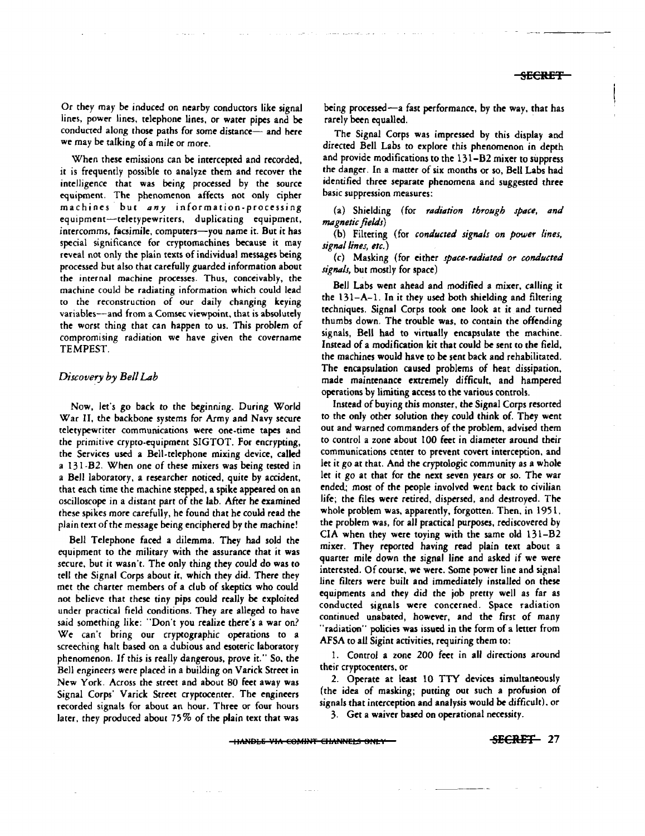Or they may be induced on nearby conductors like signal lines, power lines, telephone lines, or water pipes and be conducted along those paths for some distance- and here we may be talking of a mile or more.

When these emissions can be intercepted and recorded, it is frequently possible (0 analyze them and recover the intelligence that was being processed by the source equipment. The phenomenon affects not only cipher machines· but *any* information-processing equipment-teletypewriters, duplicating equipment, intercomms, facsimile, computers-you name it. But it has special significance for cryptomachines because it may reveal not only the plain texts of individual messages being processed but also that carefully guarded information about the internal machine processes. Thus, conceivably, the machine could be radiating information which could lead to the reconstruction of our daily changing keying variables--and from a Comsec viewpoint, that is absolutely the worst thing that can happen to us. This problem of compromising radiation we have given the covername TEMPEST.

### *Discovery by Bell Lab*

Now, let's go back to the beginning. During World War II, the backbone systems for Army and Navy secure teletypewriter communications were one-time tapes and the primitive crypto-equipment SIGTOT. For encrypting, the Services used a Bell-telephone mixing device, called a 13 I -B2. When one of these mixers was being tested in a Bell laboratory. a researcher noticed, quite by accident, that each time the machine stepped, a spike appeared on an oscilloscope in a distant part of the lab. After he examined these spikes more carefully. he found that he could read the plain text of*the* message being enciphered bythe machine!

Bell Telephone faced a dilemma. They had sold the equipment to the military with the assurance that it was secure, but it wasn't. The only thing they could do was to tell rhe Signal Corps about it. *which* they did. There they met the charter members of a dub of skeptics who could not believe that these tiny pips could really be exploited under practical field conditions. They are alleged to have said something like: "Don't you realize there's a war on? We can't bring our cryptographic operations to a screeching halt based on a dubious and esoteric laboratory phenomenon. If this is really dangerous, prove it." So. the Bell engineers were placed in a building on Varick Street in New York. Across the street and about 80 feet away was Signal Corps' Varick Street *cryptocenter.* The engineers recorded signals for about an hour. Three or four hours later, *they* produced about 75 % of the plain text that was

**Sales** 

being processed-a fast performance, by the way, that has rarely been equalled.

The Signal Corps was impressed by this display and directed Bell Labs to explore this phenomenon in depth and provide modifications to the 131-B2 mixer to suppress the danger. In a matter of six months or so, Bell Labs had identified three separate phenomena and suggested three basic suppression measures:

(a) Shielding (for *radiation through space, and* magnetic fields)

(b) Filtering (for *conducted signals on power lines, signal lines, etc.)*

(c) Masking (for either *space-radiated or conducted signals,* but mostly for space)

Bell Labs went ahead and modified a mixer, calling it the I31-A-1. In it they used both shielding and filtering techniques. Signal Corps took one look at it and turned thumbs down. The trouble was. to contain the offending signals, Bell had to virtually encapsulate the machine. Instead of a modification kit that could be sent to the field, the machines would have to be sent back and rehabilitated. The encapsulation caused problems of heat dissipation. made maintenance extremely difficult, and hampered operations by limiting access to the various controls.

Instead of buying this monster, the Signal Corps resorted to the only other solution they could think of. They went out and warned commanders of the problem, advised them to control a zone about 100 feet in diameter around their communications center to prevent covert interception. and let it go at that. And the cryptologic community as a whole let it go at that for the next seven years or so. The war ended; most of the people involved went back to civilian life; the files were retired, dispersed, and destroyed. The whole problem was, apparently, forgotten. Then, in 1951, the problem was, for all practical purposes, rediscovered by CIA when they were toying with the same old 131-B2 mixer. They reported having read plain text about a quarter mile down the signal line and asked if we were interested. Of course, we were. Some power line and signal line filters were built and immediately installed on these equipments and they did the job pretty well as far as conducted signals were concerned. Space radiation continued unabated, however, and the first of many "radiation" policies was issued in the form of a letter from AFSA to all Sigint activities, requiring them to:

1. Control a zone 200 *feet* in all directions around their cryptocenters, or

2. Operate at least 10 TTY devices simultaneously (the idea of masking; putting out such a profusion of signals that interception and analysis would be difficult), or *3. Get* a waiver based on operational necessity.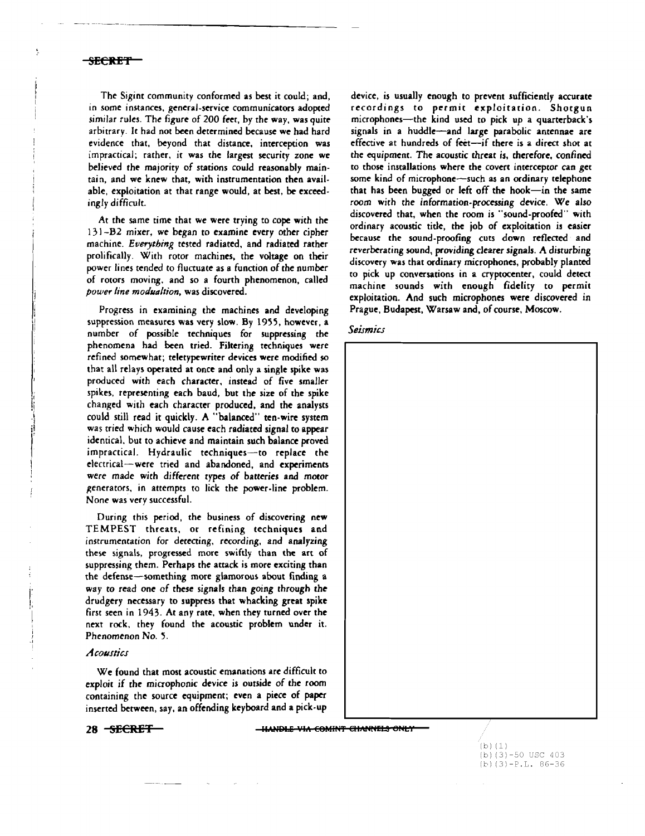j ij

'Ij.,I  $\mathbf{r}$ 

Ii

I !

> i !

The Sigint community conformed as best it could; and, in some instances. general-service communicators adopted similar rules. The figure of 200 feet. by the way, was quite arbitrary. It had not been determined because we had hard evidence that. beyond that distance. interception was impractical; rather, it was the largest security zone we believed the majority of stations could reasonably mainrain, and we knew that, with instrumentation then avail. able, exploitation at that range would, at best, be exceedingly difficult.

-~--- -~-~--~~------------

At the same time that we were trying to cope with the 13) -B2 mixer. we began to examine every other cipher machine. *Everytbing'* tested radiated. and radiated rather prolifically. With rotor machines. the voltage on their power lines tended to fluctuate as a function of the number of rotors moving. and so a fourth phenomenon, called *pourer line modllaltion,* was discovered.

Progress in examining the machines and developing suppression measures was very slow. By 1955, however, a number of possible techniques for suppressing the phenomena had been tried. Filtering techniques were refined somewhat; teletypewriter devices were modified so that all relays operated at once and only a single spike was produced with each character, instead of five smaller spikes. representing each baud, but the size of the spike changed with each character produced, and the analysts could still read it quickly. A "balanced" ten-wire system was tried which would cause each radiated signal to appear identical. but to achieve and maintain such balance proved impractical. Hydraulic techniques-to replace the electrical-were tried and abandoned, and experiments were made with different types of batteries and motor generators, in attempts to lick the power-line problem. None was very successful.

During this period, the business of discovering new TEMPEST threats. or refining techniques and instrumentation for derecting, recording. and analyzing these signals, progressed more swiftly than the art of suppressing them. Perhaps the attack is more exciting than the defense-something more glamorous about finding a way to read one of these signals than going through the drudgery necessary to suppress that whacking great spike first seen in 1943. At any rate. when they turned over the next rock. they found the acoustic problem under it. *Phenomenon* No. '5.

#### *Acoustics*

We found that most acoustic emanations are difficult to exploit if the microphonic device is outside of the room containing the source equipment; even a piece of paper inserted between, say, an offending keyboard and a pick-up

28 SECRET **III INALE VIA COMINT CHANNELS ONLY** 

device, is usually enough to prevent sufficiently accurate recordings to permit exploitation. Shotgun microphones-the kind used to pick up a quarterback's signals in a huddle-and large parabolic antennae are effective at hundreds of feet-if there is a direct shot at the equipment. The acoustic threat is, therefore. confined to those installations where the covert interceptor can get some kind of microphone-such as an ordinary telephone that has been bugged or left off the hook-in the same room with the information-processing device. We also discovered that, when the room is "sound-proofed" with ordinary acoustic tide, the job of exploitation is easier because the sound-proofing cuts down reflected and reverberating sound, providing clearer signals. A disturbing discovery was that ordinary microphones. probably planted to pick up conversations in a cryptocenter. could detect machine sounds with enough fidelity to permit exploitation. And such microphones were discovered in Prague. Budapest, Warsaw and, of course. Moscow.





 $(b) (1)$ (b)(3)-50 USC 403 (b) (3)-P.L. 86-36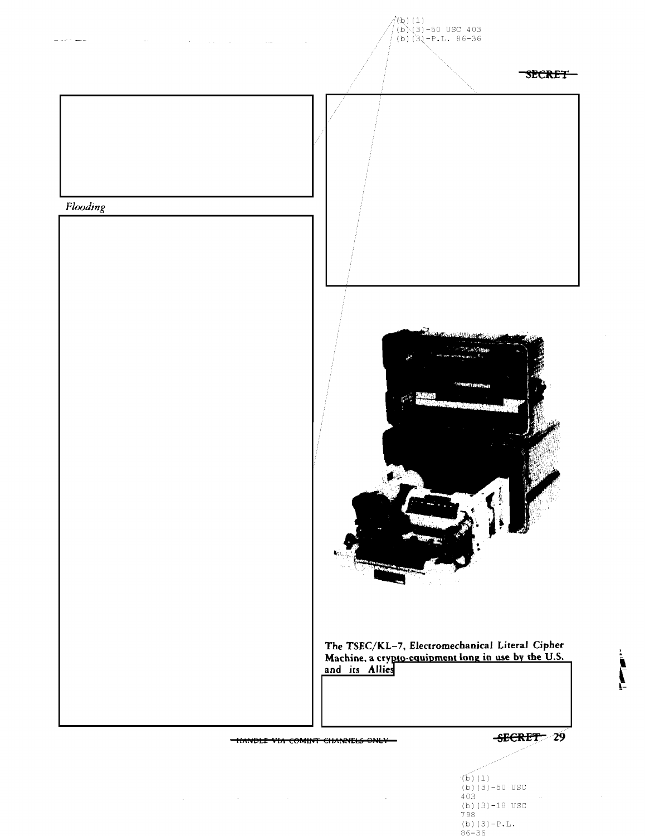

 $\mathcal{A}(\mathcal{A})$  and  $\mathcal{A}(\mathcal{A})$  are  $\mathcal{A}(\mathcal{A})$  . In the contribution

 $(b) (1)$ (b)  $(3)$  -50 USC<br>403 (b) $(3)-18$  USC 798 (b)  $(3)-{\mathbb P}$  . L .  $86 - 36$ 

 $\cdot$